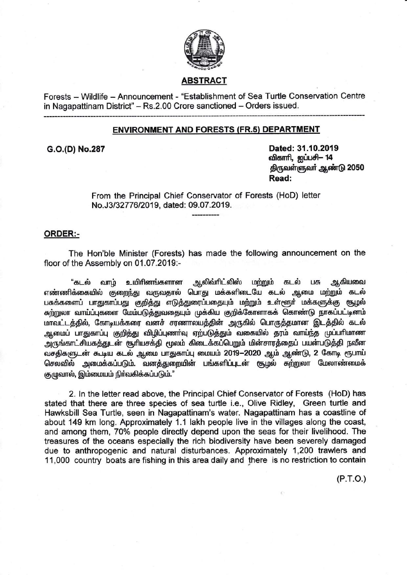

# **ABSTRACT**

Forests - Wildlife - Announcement - "Establishment of Sea Turtle Conservation Centre in Nagapattinam District" - Rs.2.00 Crore sanctioned - Orders issued.

## **ENVIRONMENT AND FORESTS (FR.5) DEPARTMENT**

G.O.(D) No.287

Dated: 31.10.2019 விகாரி, ஐப்பசி- 14 திருவள்ளுவா் ஆண்டு 2050 Read:

From the Principal Chief Conservator of Forests (HoD) letter No.J3/32776/2019, dated: 09.07.2019.

## **ORDER:-**

The Hon'ble Minister (Forests) has made the following announcement on the floor of the Assembly on 01.07.2019:-

உயிரினங்களான ஆலிவ்ரிட்லிஸ் "கடல் வாம் மற்றும் கடல் பசு **ஆகியவை** எண்ணிக்கையில் குறைந்து வருவதால் பொது மக்களிடையே கடல் ஆமை மற்றும் கடல் பசுக்களைப் பாதுகாப்பது குறித்து எடுத்துரைப்பதையும் மற்றும் உள்ளூர் மக்களுக்கு சூழல் சுற்றுலா வாய்ப்புகளை மேம்படுத்துவதையும் முக்கிய குறிக்கோளாகக் கொண்டு நாகப்பட்டினம் மாவட்டத்தில், கோடியக்கரை வனச் சரணாலயத்தின் அருகில் பொருத்தமான இடத்தில் கடல் ஆமைப் பாதுகாப்பு குறித்து விழிப்புணா்வு ஏற்படுத்தும் வகையில் தரம் வாய்ந்த முப்பாிமாண அருங்காட்சியகத்துடன் சூரியசக்தி மூலம் கிடைக்கப்பெறும் மின்சாரத்தைப் பயன்படுத்தி நவீன வசதிகளுடன் கூடிய கடல் ஆமை பாதுகாப்பு மையம் 2019-2020 ஆம் ஆண்டு, 2 கோடி ரூபாய் செலவில் அமைக்கப்படும். வனத்துறையின் பங்களிப்புடன் சூழல் சுற்றுலா மேலாண்மைக் குழுவால், இம்மையம் நிர்வகிக்கப்படும்."

2. In the letter read above, the Principal Chief Conservator of Forests (HoD) has stated that there are three species of sea turtle i.e., Olive Ridley, Green turtle and Hawksbill Sea Turtle, seen in Nagapattinam's water. Nagapattinam has a coastline of about 149 km long. Approximately 1.1 lakh people live in the villages along the coast, and among them, 70% people directly depend upon the seas for their livelihood. The treasures of the oceans especially the rich biodiversity have been severely damaged due to anthropogenic and natural disturbances. Approximately 1,200 trawlers and 11,000 country boats are fishing in this area daily and there is no restriction to contain

 $(P.T.O.)$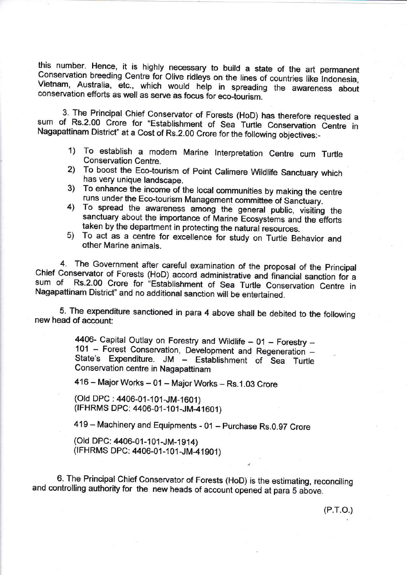this number. Hence, it is highly necessary to build a state of the art permanent Conservation breeding Centre for Olive ridleys on the lines of countries like Indonesia, Vietnam, Australia, etc., which would help in spread

3. The Principal Chief Conservator of Forests (HoD) has therefore requested a sum of Rs.2.00 Crore for "Establishment of Sea Turtle Conservation Centre in Nagapattinam District" at a Cost of Rs.2.00 Crore for the following objectives:-

- 1) To establish a modern Marine lnterpretation Centre cum Turle
- 2) To boost the Eco-tourism of Point Calimere Wildlife Sanctuary which has very unique landscape.
- 3) To enhance the income of the local communities by making the centre runs under the Eco-tourism Management committee of Sanctuary.
- 4) To spread the awareness among the general public, visiting the sanctuary about the importance of Marine Ecosystems and the efforts taken by the department in protecting the natural resources.
- 5) To act as a centre for excellence for study on Turtle Behavior and other Marine animals.

4. The Government after careful examination of the proposal of the principal Chief Conservator of Forests (HoD) accord administrative and financial sanction for a<br>sum of Rs.2.00 Crore for "Establishment of Sea Turtle Conservation Cantus" sum of Rs.2.00 Crore for "Establishment of Sea Turtle Conservation Centre in Nagapattinam District" and no additional sanction will be entertained.

5. The expenditure sanctioned in para 4 above shall be debited to the following new head of account:

> 4406- Capital Outlay on Forestry and Wildlife  $- 01$  - Forestry -101 - Forest Conservation, Development and Regeneration -State's Expenditure. JM - Establishment of Sea Turtle Conservation centre in Nagapattinam

416 - Major Works - 01 - Major Works - Rs.1.03 Crore

(Old DPC : 4406-01-101-JM-1601) (IFHRMS DPC: 4406-01-101-JM-41601)

419 – Machinery and Equipments - 01 – Purchase Rs.0.97 Crore

(Old DPC: 4406-01-101-JM-1914) (IFHRMS DPC: 4406-01-101 -JM-41 901 )

6. The Principal Chief Conservator of Forests (HoD) is the estimating, reconciling and controlling authority for the new heads of account opened at para 5 above.